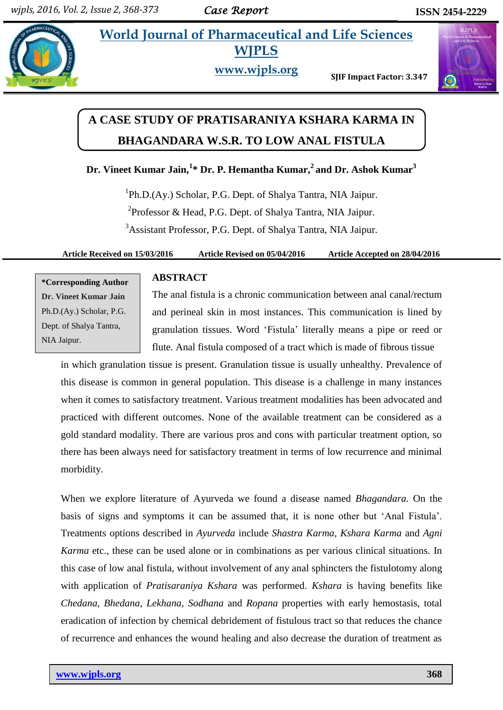# **World Journal of Pharmaceutical and Life Sciences WJPLS**



**www.wjpls.org** 

**SJIF Impact Factor: 3.347**



# **A CASE STUDY OF PRATISARANIYA KSHARA KARMA IN BHAGANDARA W.S.R. TO LOW ANAL FISTULA**

**Dr. Vineet Kumar Jain, 1 \* Dr. P. Hemantha Kumar, 2 and Dr. Ashok Kumar<sup>3</sup>**

<sup>1</sup>Ph.D.(Ay.) Scholar, P.G. Dept. of Shalya Tantra, NIA Jaipur. <sup>2</sup>Professor & Head, P.G. Dept. of Shalya Tantra, NIA Jaipur. <sup>3</sup>Assistant Professor, P.G. Dept. of Shalya Tantra, NIA Jaipur.

#### **Article Received on 15/03/2016 Article Revised on 05/04/2016 Article Accepted on 28/04/2016**

**\*Corresponding Author Dr. Vineet Kumar Jain** Ph.D.(Ay.) Scholar, P.G. Dept. of Shalya Tantra, NIA Jaipur.

#### **ABSTRACT**

The anal fistula is a chronic communication between anal canal/rectum and perineal skin in most instances. This communication is lined by granulation tissues. Word "Fistula" literally means a pipe or reed or flute. Anal fistula composed of a tract which is made of fibrous tissue

in which granulation tissue is present. Granulation tissue is usually unhealthy. Prevalence of this disease is common in general population. This disease is a challenge in many instances when it comes to satisfactory treatment. Various treatment modalities has been advocated and practiced with different outcomes. None of the available treatment can be considered as a gold standard modality. There are various pros and cons with particular treatment option, so there has been always need for satisfactory treatment in terms of low recurrence and minimal morbidity.

When we explore literature of Ayurveda we found a disease named *Bhagandara.* On the basis of signs and symptoms it can be assumed that, it is none other but "Anal Fistula". Treatments options described in *Ayurveda* include *Shastra Karma*, *Kshara Karma* and *Agni Karma* etc., these can be used alone or in combinations as per various clinical situations. In this case of low anal fistula, without involvement of any anal sphincters the fistulotomy along with application of *Pratisaraniya Kshara* was performed. *Kshara* is having benefits like *Chedana, Bhedana, Lekhana, Sodhana* and *Ropana* properties with early hemostasis, total eradication of infection by chemical debridement of fistulous tract so that reduces the chance of recurrence and enhances the wound healing and also decrease the duration of treatment as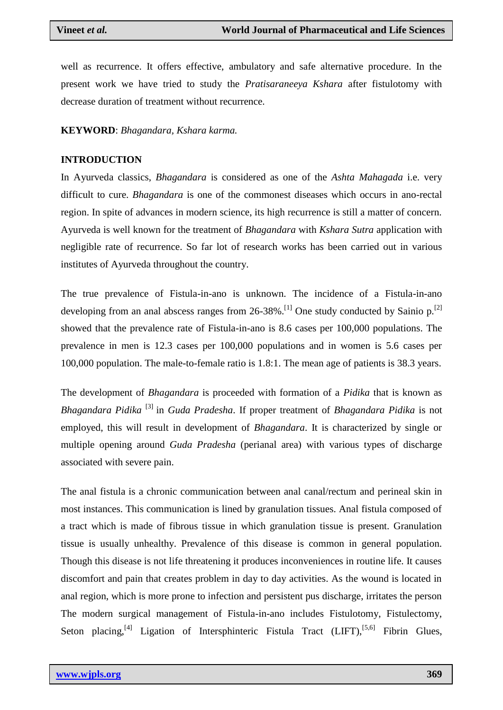well as recurrence. It offers effective, ambulatory and safe alternative procedure. In the present work we have tried to study the *Pratisaraneeya Kshara* after fistulotomy with decrease duration of treatment without recurrence.

#### **KEYWORD**: *Bhagandara, Kshara karma.*

#### **INTRODUCTION**

In Ayurveda classics, *Bhagandara* is considered as one of the *Ashta Mahagada* i.e. very difficult to cure. *Bhagandara* is one of the commonest diseases which occurs in ano-rectal region. In spite of advances in modern science, its high recurrence is still a matter of concern. Ayurveda is well known for the treatment of *Bhagandara* with *Kshara Sutra* application with negligible rate of recurrence. So far lot of research works has been carried out in various institutes of Ayurveda throughout the country.

The true prevalence of Fistula-in-ano is unknown. The incidence of a Fistula-in-ano developing from an anal abscess ranges from  $26-38\%$ .<sup>[1]</sup> One study conducted by Sainio p.<sup>[2]</sup> showed that the prevalence rate of Fistula-in-ano is 8.6 cases per 100,000 populations. The prevalence in men is 12.3 cases per 100,000 populations and in women is 5.6 cases per 100,000 population. The male-to-female ratio is 1.8:1. The mean age of patients is 38.3 years.

The development of *Bhagandara* is proceeded with formation of a *Pidika* that is known as *Bhagandara Pidika* [3] in *Guda Pradesha*. If proper treatment of *Bhagandara Pidika* is not employed, this will result in development of *Bhagandara*. It is characterized by single or multiple opening around *Guda Pradesha* (perianal area) with various types of discharge associated with severe pain.

The anal fistula is a chronic communication between anal canal/rectum and perineal skin in most instances. This communication is lined by granulation tissues. Anal fistula composed of a tract which is made of fibrous tissue in which granulation tissue is present. Granulation tissue is usually unhealthy. Prevalence of this disease is common in general population. Though this disease is not life threatening it produces inconveniences in routine life. It causes discomfort and pain that creates problem in day to day activities. As the wound is located in anal region, which is more prone to infection and persistent pus discharge, irritates the person The modern surgical management of Fistula-in-ano includes Fistulotomy, Fistulectomy, Seton placing,<sup>[4]</sup> Ligation of Intersphinteric Fistula Tract (LIFT),<sup>[5,6]</sup> Fibrin Glues,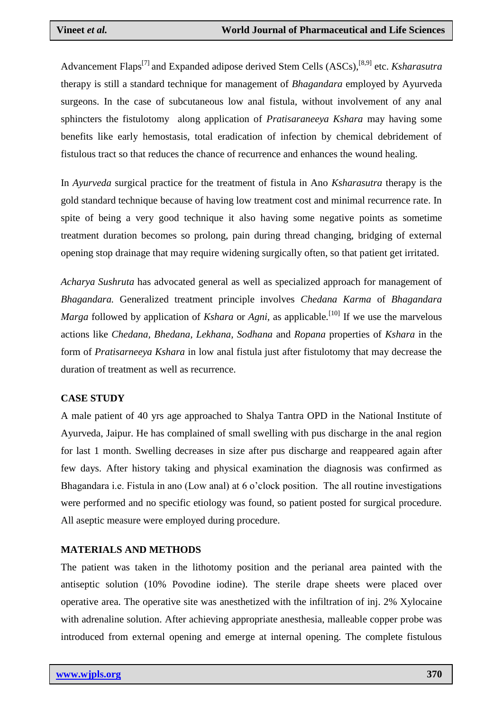Advancement Flaps<sup>[7]</sup> and Expanded adipose derived Stem Cells (ASCs),<sup>[8,9]</sup> etc. *Ksharasutra* therapy is still a standard technique for management of *Bhagandara* employed by Ayurveda surgeons. In the case of subcutaneous low anal fistula, without involvement of any anal sphincters the fistulotomy along application of *Pratisaraneeya Kshara* may having some benefits like early hemostasis, total eradication of infection by chemical debridement of fistulous tract so that reduces the chance of recurrence and enhances the wound healing.

In *Ayurveda* surgical practice for the treatment of fistula in Ano *Ksharasutra* therapy is the gold standard technique because of having low treatment cost and minimal recurrence rate. In spite of being a very good technique it also having some negative points as sometime treatment duration becomes so prolong, pain during thread changing, bridging of external opening stop drainage that may require widening surgically often, so that patient get irritated.

*Acharya Sushruta* has advocated general as well as specialized approach for management of *Bhagandara.* Generalized treatment principle involves *Chedana Karma* of *Bhagandara Marga* followed by application of *Kshara* or *Agni*, as applicable.<sup>[10]</sup> If we use the marvelous actions like *Chedana, Bhedana, Lekhana, Sodhana* and *Ropana* properties of *Kshara* in the form of *Pratisarneeya Kshara* in low anal fistula just after fistulotomy that may decrease the duration of treatment as well as recurrence.

## **CASE STUDY**

A male patient of 40 yrs age approached to Shalya Tantra OPD in the National Institute of Ayurveda, Jaipur. He has complained of small swelling with pus discharge in the anal region for last 1 month. Swelling decreases in size after pus discharge and reappeared again after few days. After history taking and physical examination the diagnosis was confirmed as Bhagandara i.e. Fistula in ano (Low anal) at 6 o'clock position. The all routine investigations were performed and no specific etiology was found, so patient posted for surgical procedure. All aseptic measure were employed during procedure.

## **MATERIALS AND METHODS**

The patient was taken in the lithotomy position and the perianal area painted with the antiseptic solution (10% Povodine iodine). The sterile drape sheets were placed over operative area. The operative site was anesthetized with the infiltration of inj. 2% Xylocaine with adrenaline solution. After achieving appropriate anesthesia, malleable copper probe was introduced from external opening and emerge at internal opening. The complete fistulous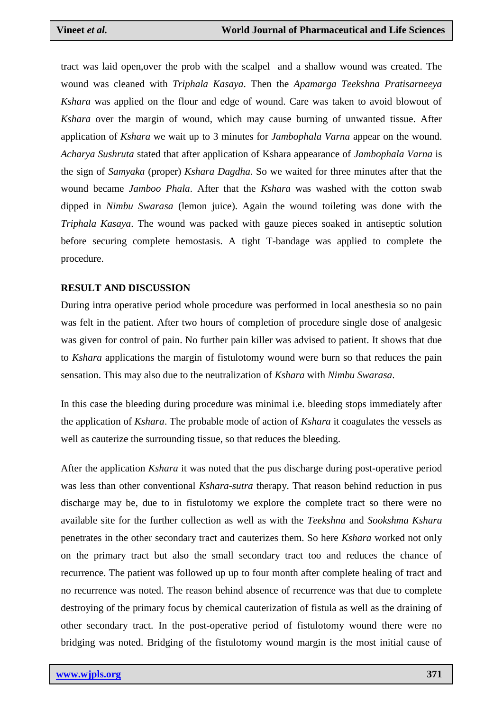tract was laid open,over the prob with the scalpel and a shallow wound was created. The wound was cleaned with *Triphala Kasaya*. Then the *Apamarga Teekshna Pratisarneeya Kshara* was applied on the flour and edge of wound. Care was taken to avoid blowout of *Kshara* over the margin of wound, which may cause burning of unwanted tissue. After application of *Kshara* we wait up to 3 minutes for *Jambophala Varna* appear on the wound. *Acharya Sushruta* stated that after application of Kshara appearance of *Jambophala Varna* is the sign of *Samyaka* (proper) *Kshara Dagdha*. So we waited for three minutes after that the wound became *Jamboo Phala*. After that the *Kshara* was washed with the cotton swab dipped in *Nimbu Swarasa* (lemon juice). Again the wound toileting was done with the *Triphala Kasaya*. The wound was packed with gauze pieces soaked in antiseptic solution before securing complete hemostasis. A tight T-bandage was applied to complete the procedure.

#### **RESULT AND DISCUSSION**

During intra operative period whole procedure was performed in local anesthesia so no pain was felt in the patient. After two hours of completion of procedure single dose of analgesic was given for control of pain. No further pain killer was advised to patient. It shows that due to *Kshara* applications the margin of fistulotomy wound were burn so that reduces the pain sensation. This may also due to the neutralization of *Kshara* with *Nimbu Swarasa*.

In this case the bleeding during procedure was minimal i.e. bleeding stops immediately after the application of *Kshara*. The probable mode of action of *Kshara* it coagulates the vessels as well as cauterize the surrounding tissue, so that reduces the bleeding.

After the application *Kshara* it was noted that the pus discharge during post-operative period was less than other conventional *Kshara-sutra* therapy. That reason behind reduction in pus discharge may be, due to in fistulotomy we explore the complete tract so there were no available site for the further collection as well as with the *Teekshna* and *Sookshma Kshara* penetrates in the other secondary tract and cauterizes them. So here *Kshara* worked not only on the primary tract but also the small secondary tract too and reduces the chance of recurrence. The patient was followed up up to four month after complete healing of tract and no recurrence was noted. The reason behind absence of recurrence was that due to complete destroying of the primary focus by chemical cauterization of fistula as well as the draining of other secondary tract. In the post-operative period of fistulotomy wound there were no bridging was noted. Bridging of the fistulotomy wound margin is the most initial cause of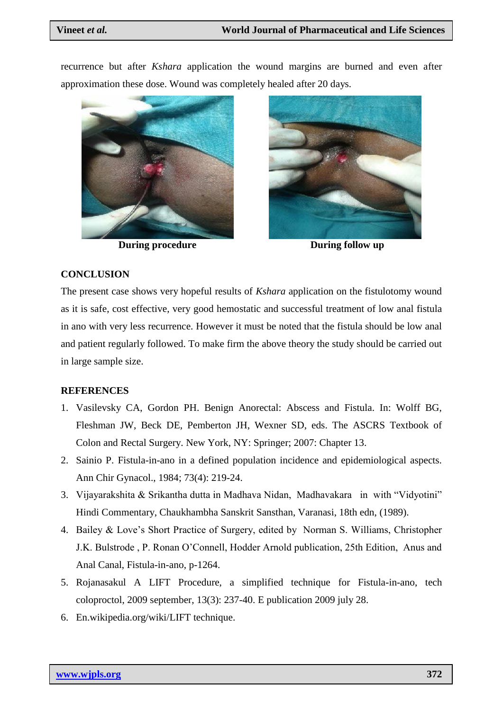recurrence but after *Kshara* application the wound margins are burned and even after approximation these dose. Wound was completely healed after 20 days.



**During procedure** During follow up



#### **CONCLUSION**

The present case shows very hopeful results of *Kshara* application on the fistulotomy wound as it is safe, cost effective, very good hemostatic and successful treatment of low anal fistula in ano with very less recurrence. However it must be noted that the fistula should be low anal and patient regularly followed. To make firm the above theory the study should be carried out in large sample size.

## **REFERENCES**

- 1. Vasilevsky CA, Gordon PH. Benign Anorectal: Abscess and Fistula. In: Wolff BG, Fleshman JW, Beck DE, Pemberton JH, Wexner SD, eds. The ASCRS Textbook of Colon and Rectal Surgery. New York, NY: Springer; 2007: Chapter 13.
- 2. Sainio P. Fistula-in-ano in a defined population incidence and epidemiological aspects. Ann Chir Gynacol., 1984; 73(4): 219-24.
- 3. Vijayarakshita & Srikantha dutta in Madhava Nidan, Madhavakara in with "Vidyotini" Hindi Commentary, Chaukhambha Sanskrit Sansthan, Varanasi, 18th edn, (1989).
- 4. Bailey & Love"s Short Practice of Surgery, edited by Norman S. Williams, Christopher J.K. Bulstrode , P. Ronan O"Connell, Hodder Arnold publication, 25th Edition, Anus and Anal Canal, Fistula-in-ano, p-1264.
- 5. Rojanasakul A LIFT Procedure, a simplified technique for Fistula-in-ano, tech coloproctol, 2009 september, 13(3): 237-40. E publication 2009 july 28.
- 6. En.wikipedia.org/wiki/LIFT technique.